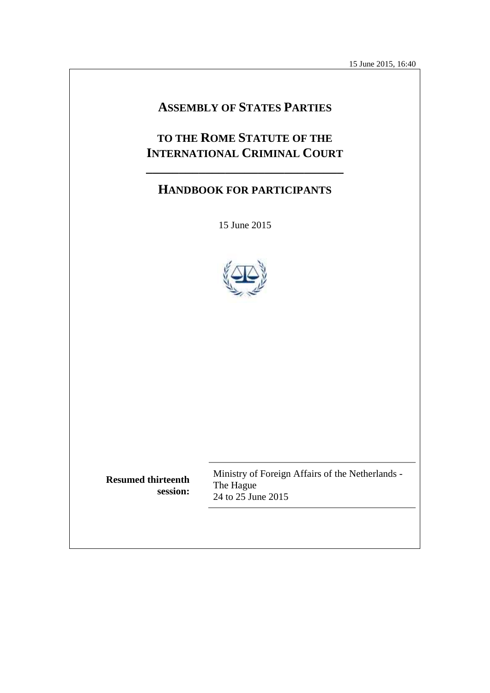15 June 2015, 16:40

# **ASSEMBLY OF STATES PARTIES**

# **TO THE ROME STATUTE OF THE INTERNATIONAL CRIMINAL COURT**

# **HANDBOOK FOR PARTICIPANTS**

**\_\_\_\_\_\_\_\_\_\_\_\_\_\_\_\_\_\_\_\_\_\_\_\_\_\_\_\_\_\_**

15 June 2015



**Resumed thirteenth session:**

Ministry of Foreign Affairs of the Netherlands - The Hague 24 to 25 June 2015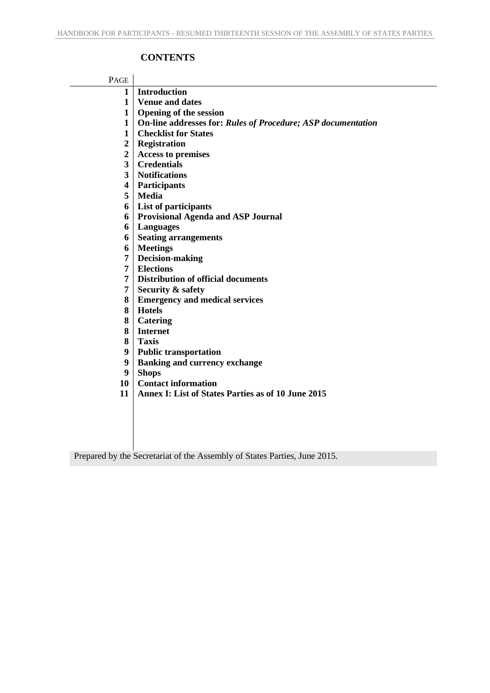## **CONTENTS**

| PAGE                    |                                                                     |
|-------------------------|---------------------------------------------------------------------|
| 1                       | <b>Introduction</b>                                                 |
| $\mathbf{1}$            | <b>Venue and dates</b>                                              |
| $\mathbf{1}$            | <b>Opening of the session</b>                                       |
| $\mathbf{1}$            | <b>On-line addresses for: Rules of Procedure; ASP documentation</b> |
| $\mathbf{1}$            | <b>Checklist for States</b>                                         |
| $\overline{2}$          | Registration                                                        |
| $\overline{2}$          | <b>Access to premises</b>                                           |
| 3                       | <b>Credentials</b>                                                  |
| $\overline{\mathbf{3}}$ | <b>Notifications</b>                                                |
| $\overline{\mathbf{4}}$ | Participants                                                        |
| 5                       | <b>Media</b>                                                        |
| 6                       | List of participants                                                |
| 6                       | <b>Provisional Agenda and ASP Journal</b>                           |
| 6                       | Languages                                                           |
| 6                       | <b>Seating arrangements</b>                                         |
| 6                       | <b>Meetings</b>                                                     |
| 7                       | Decision-making                                                     |
| 7                       | <b>Elections</b>                                                    |
| 7                       | <b>Distribution of official documents</b>                           |
| 7                       | <b>Security &amp; safety</b>                                        |
| 8                       | <b>Emergency and medical services</b>                               |
| 8                       | <b>Hotels</b>                                                       |
| 8                       | <b>Catering</b>                                                     |
| 8                       | <b>Internet</b>                                                     |
| 8                       | <b>Taxis</b>                                                        |
| 9                       | <b>Public transportation</b>                                        |
| 9                       | <b>Banking and currency exchange</b>                                |
| 9                       | <b>Shops</b>                                                        |
| 10                      | <b>Contact information</b>                                          |
| 11                      | <b>Annex I: List of States Parties as of 10 June 2015</b>           |
|                         |                                                                     |
|                         |                                                                     |
|                         |                                                                     |
|                         |                                                                     |

Prepared by the Secretariat of the Assembly of States Parties, June 2015.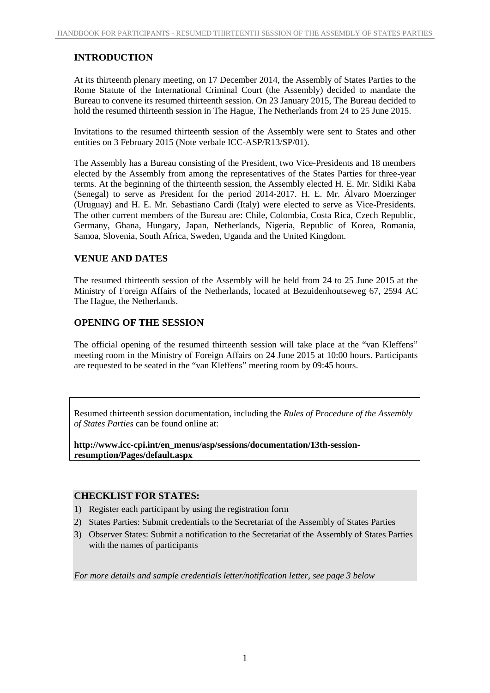## **INTRODUCTION**

At its thirteenth plenary meeting, on 17 December 2014, the Assembly of States Parties to the Rome Statute of the International Criminal Court (the Assembly) decided to mandate the Bureau to convene its resumed thirteenth session. On 23 January 2015, The Bureau decided to hold the resumed thirteenth session in The Hague, The Netherlands from 24 to 25 June 2015.

Invitations to the resumed thirteenth session of the Assembly were sent to States and other entities on 3 February 2015 (Note verbale ICC-ASP/R13/SP/01).

The Assembly has a Bureau consisting of the President, two Vice-Presidents and 18 members elected by the Assembly from among the representatives of the States Parties for three-year terms. At the beginning of the thirteenth session, the Assembly elected H. E. Mr. Sidiki Kaba (Senegal) to serve as President for the period 2014-2017. H. E. Mr. Álvaro Moerzinger (Uruguay) and H. E. Mr. Sebastiano Cardi (Italy) were elected to serve as Vice-Presidents. The other current members of the Bureau are: Chile, Colombia, Costa Rica, Czech Republic, Germany, Ghana, Hungary, Japan, Netherlands, Nigeria, Republic of Korea, Romania, Samoa, Slovenia, South Africa, Sweden, Uganda and the United Kingdom.

## **VENUE AND DATES**

The resumed thirteenth session of the Assembly will be held from 24 to 25 June 2015 at the Ministry of Foreign Affairs of the Netherlands, located at Bezuidenhoutseweg 67, 2594 AC The Hague, the Netherlands.

## **OPENING OF THE SESSION**

The official opening of the resumed thirteenth session will take place at the "van Kleffens" meeting room in the Ministry of Foreign Affairs on 24 June 2015 at 10:00 hours. Participants are requested to be seated in the "van Kleffens" meeting room by 09:45 hours.

Resumed thirteenth session documentation, including the *Rules of Procedure of the Assembly of States Parties* can be found online at:

**http://www.icc-cpi.int/en\_menus/asp/sessions/documentation/13th-session resumption/Pages/default.aspx**

#### **CHECKLIST FOR STATES:**

- 1) Register each participant by using the registration form
- 2) States Parties: Submit credentials to the Secretariat of the Assembly of States Parties
- 3) Observer States: Submit a notification to the Secretariat of the Assembly of States Parties with the names of participants

*For more details and sample credentials letter/notification letter, see page 3 below*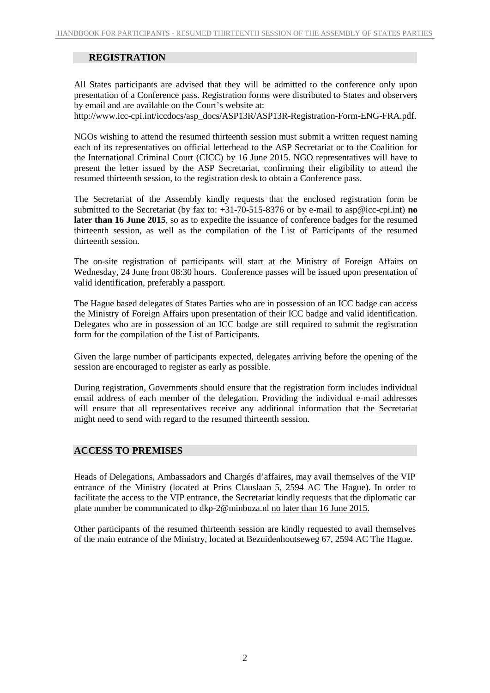## **REGISTRATION**

All States participants are advised that they will be admitted to the conference only upon presentation of a Conference pass. Registration forms were distributed to States and observers by email and are available on the Court's website at:

http://www.icc-cpi.int/iccdocs/asp\_docs/ASP13R/ASP13R-Registration-Form-ENG-FRA.pdf.

NGOs wishing to attend the resumed thirteenth session must submit a written request naming each of its representatives on official letterhead to the ASP Secretariat or to the Coalition for the International Criminal Court (CICC) by 16 June 2015. NGO representatives will have to present the letter issued by the ASP Secretariat, confirming their eligibility to attend the resumed thirteenth session, to the registration desk to obtain a Conference pass.

The Secretariat of the Assembly kindly requests that the enclosed registration form be submitted to the Secretariat (by fax to: +31-70-515-8376 or by e-mail to asp@icc-cpi.int) **no later than 16 June 2015**, so as to expedite the issuance of conference badges for the resumed thirteenth session, as well as the compilation of the List of Participants of the resumed thirteenth session.

The on-site registration of participants will start at the Ministry of Foreign Affairs on Wednesday, 24 June from 08:30 hours. Conference passes will be issued upon presentation of valid identification, preferably a passport.

The Hague based delegates of States Parties who are in possession of an ICC badge can access the Ministry of Foreign Affairs upon presentation of their ICC badge and valid identification. Delegates who are in possession of an ICC badge are still required to submit the registration form for the compilation of the List of Participants.

Given the large number of participants expected, delegates arriving before the opening of the session are encouraged to register as early as possible.

During registration, Governments should ensure that the registration form includes individual email address of each member of the delegation. Providing the individual e-mail addresses will ensure that all representatives receive any additional information that the Secretariat might need to send with regard to the resumed thirteenth session.

#### **ACCESS TO PREMISES**

Heads of Delegations, Ambassadors and Chargés d'affaires, may avail themselves of the VIP entrance of the Ministry (located at Prins Clauslaan 5, 2594 AC The Hague). In order to facilitate the access to the VIP entrance, the Secretariat kindly requests that the diplomatic car plate number be communicated to dkp-2@minbuza.nl no later than 16 June 2015.

Other participants of the resumed thirteenth session are kindly requested to avail themselves of the main entrance of the Ministry, located at Bezuidenhoutseweg 67, 2594 AC The Hague.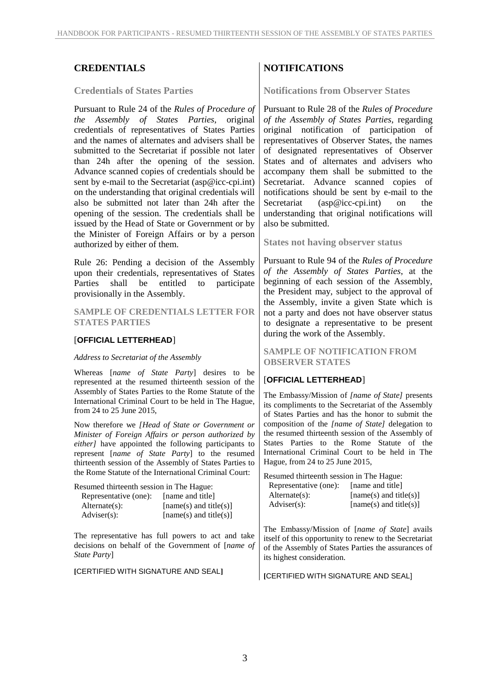#### **Credentials of States Parties**

Pursuant to Rule 24 of the *Rules of Procedure of the Assembly of States Parties*, original credentials of representatives of States Parties and the names of alternates and advisers shall be submitted to the Secretariat if possible not later than 24h after the opening of the session. Advance scanned copies of credentials should be sent by e-mail to the Secretariat (asp@icc-cpi.int) on the understanding that original credentials will also be submitted not later than 24h after the opening of the session. The credentials shall be issued by the Head of State or Government or by the Minister of Foreign Affairs or by a person authorized by either of them.

Rule 26: Pending a decision of the Assembly upon their credentials, representatives of States Parties shall be entitled to participate provisionally in the Assembly.

**SAMPLE OF CREDENTIALS LETTER FOR STATES PARTIES**

#### [**OFFICIAL LETTERHEAD**]

#### *Address to Secretariat of the Assembly*

Whereas [*name of State Party*] desires to be represented at the resumed thirteenth session of the Assembly of States Parties to the Rome Statute of the International Criminal Court to be held in The Hague, from 24 to 25 June 2015,

Now therefore we *[Head of State or Government or Minister of Foreign Affairs or person authorized by either]* have appointed the following participants to represent [*name of State Party*] to the resumed thirteenth session of the Assembly of States Parties to the Rome Statute of the International Criminal Court:

| Resumed thirteenth session in The Hague: |                          |  |  |  |
|------------------------------------------|--------------------------|--|--|--|
| Representative (one):                    | [name and title]         |  |  |  |
| $Alternate(s)$ :                         | $[name(s)$ and title(s)] |  |  |  |
| $Adviser(s)$ :                           | $[name(s)$ and title(s)] |  |  |  |

The representative has full powers to act and take decisions on behalf of the Government of [*name of State Party*]

**[**CERTIFIED WITH SIGNATURE AND SEAL**]**

## **CREDENTIALS NOTIFICATIONS**

**Notifications from Observer States**

Pursuant to Rule 28 of the *Rules of Procedure of the Assembly of States Parties*, regarding original notification of participation of representatives of Observer States, the names of designated representatives of Observer States and of alternates and advisers who accompany them shall be submitted to the Secretariat. Advance scanned copies of notifications should be sent by e-mail to the  $(\text{asp@icc-cpi.int})$  on the understanding that original notifications will also be submitted.

**States not having observer status**

Pursuant to Rule 94 of the *Rules of Procedure of the Assembly of States Parties*, at the beginning of each session of the Assembly, the President may, subject to the approval of the Assembly, invite a given State which is not a party and does not have observer status to designate a representative to be present during the work of the Assembly.

**SAMPLE OF NOTIFICATION FROM OBSERVER STATES**

#### [**OFFICIAL LETTERHEAD**]

The Embassy/Mission of *[name of State]* presents its compliments to the Secretariat of the Assembly of States Parties and has the honor to submit the composition of the *[name of State]* delegation to the resumed thirteenth session of the Assembly of States Parties to the Rome Statute of the International Criminal Court to be held in The Hague, from 24 to 25 June 2015,

Resumed thirteenth session in The Hague: Representative (one): [name and title]<br>Alternate(s): [name(s) and title [name(s) and title(s)]  $Adviser(s):$  [name(s) and title(s)]

The Embassy/Mission of [*name of State*] avails itself of this opportunity to renew to the Secretariat of the Assembly of States Parties the assurances of its highest consideration.

**[**CERTIFIED WITH SIGNATURE AND SEAL]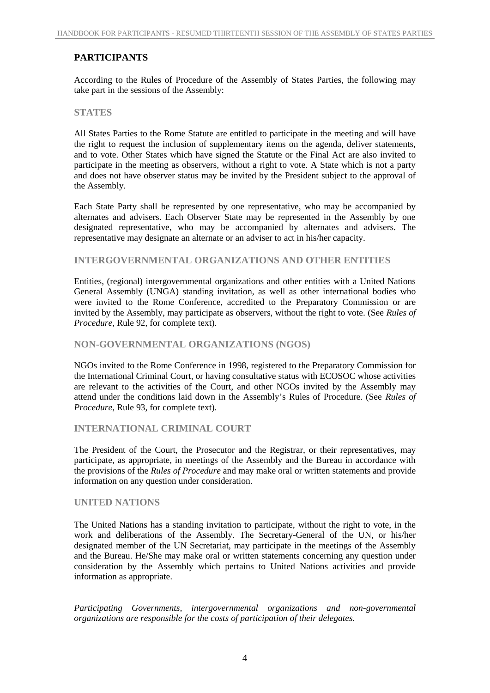## **PARTICIPANTS**

According to the Rules of Procedure of the Assembly of States Parties, the following may take part in the sessions of the Assembly:

### **STATES**

All States Parties to the Rome Statute are entitled to participate in the meeting and will have the right to request the inclusion of supplementary items on the agenda, deliver statements, and to vote. Other States which have signed the Statute or the Final Act are also invited to participate in the meeting as observers, without a right to vote. A State which is not a party and does not have observer status may be invited by the President subject to the approval of the Assembly.

Each State Party shall be represented by one representative, who may be accompanied by alternates and advisers. Each Observer State may be represented in the Assembly by one designated representative, who may be accompanied by alternates and advisers. The representative may designate an alternate or an adviser to act in his/her capacity.

## **INTERGOVERNMENTAL ORGANIZATIONS AND OTHER ENTITIES**

Entities, (regional) intergovernmental organizations and other entities with a United Nations General Assembly (UNGA) standing invitation, as well as other international bodies who were invited to the Rome Conference, accredited to the Preparatory Commission or are invited by the Assembly, may participate as observers, without the right to vote. (See *Rules of Procedure*, Rule 92, for complete text).

#### **NON-GOVERNMENTAL ORGANIZATIONS (NGOS)**

NGOs invited to the Rome Conference in 1998, registered to the Preparatory Commission for the International Criminal Court, or having consultative status with ECOSOC whose activities are relevant to the activities of the Court, and other NGOs invited by the Assembly may attend under the conditions laid down in the Assembly's Rules of Procedure. (See *Rules of Procedure*, Rule 93, for complete text).

## **INTERNATIONAL CRIMINAL COURT**

The President of the Court, the Prosecutor and the Registrar, or their representatives, may participate, as appropriate, in meetings of the Assembly and the Bureau in accordance with the provisions of the *Rules of Procedure* and may make oral or written statements and provide information on any question under consideration.

## **UNITED NATIONS**

The United Nations has a standing invitation to participate, without the right to vote, in the work and deliberations of the Assembly. The Secretary-General of the UN, or his/her designated member of the UN Secretariat, may participate in the meetings of the Assembly and the Bureau. He/She may make oral or written statements concerning any question under consideration by the Assembly which pertains to United Nations activities and provide information as appropriate.

*Participating Governments, intergovernmental organizations and non-governmental organizations are responsible for the costs of participation of their delegates.*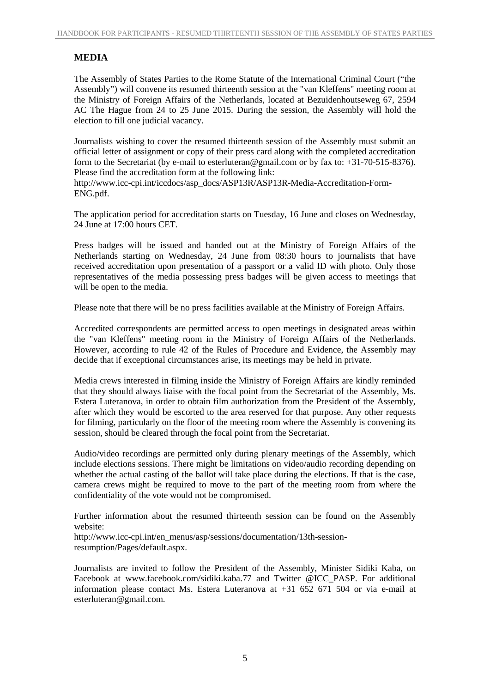## **MEDIA**

The Assembly of States Parties to the Rome Statute of the International Criminal Court ("the Assembly") will convene its resumed thirteenth session at the "van Kleffens" meeting room at the Ministry of Foreign Affairs of the Netherlands, located at Bezuidenhoutseweg 67, 2594 AC The Hague from 24 to 25 June 2015. During the session, the Assembly will hold the election to fill one judicial vacancy.

Journalists wishing to cover the resumed thirteenth session of the Assembly must submit an official letter of assignment or copy of their press card along with the completed accreditation form to the Secretariat (by e-mail to esterluteran@gmail.com or by fax to: +31-70-515-8376). Please find the accreditation form at the following link:

http://www.icc-cpi.int/iccdocs/asp\_docs/ASP13R/ASP13R-Media-Accreditation-Form- ENG.pdf.

The application period for accreditation starts on Tuesday, 16 June and closes on Wednesday, 24 June at 17:00 hours CET.

Press badges will be issued and handed out at the Ministry of Foreign Affairs of the Netherlands starting on Wednesday, 24 June from 08:30 hours to journalists that have received accreditation upon presentation of a passport or a valid ID with photo. Only those representatives of the media possessing press badges will be given access to meetings that will be open to the media.

Please note that there will be no press facilities available at the Ministry of Foreign Affairs.

Accredited correspondents are permitted access to open meetings in designated areas within the "van Kleffens" meeting room in the Ministry of Foreign Affairs of the Netherlands. However, according to rule 42 of the Rules of Procedure and Evidence, the Assembly may decide that if exceptional circumstances arise, its meetings may be held in private.

Media crews interested in filming inside the Ministry of Foreign Affairs are kindly reminded that they should always liaise with the focal point from the Secretariat of the Assembly, Ms. Estera Luteranova, in order to obtain film authorization from the President of the Assembly, after which they would be escorted to the area reserved for that purpose. Any other requests for filming, particularly on the floor of the meeting room where the Assembly is convening its session, should be cleared through the focal point from the Secretariat.

Audio/video recordings are permitted only during plenary meetings of the Assembly, which include elections sessions. There might be limitations on video/audio recording depending on whether the actual casting of the ballot will take place during the elections. If that is the case, camera crews might be required to move to the part of the meeting room from where the confidentiality of the vote would not be compromised.

Further information about the resumed thirteenth session can be found on the Assembly website:

http://www.icc-cpi.int/en\_menus/asp/sessions/documentation/13th-sessionresumption/Pages/default.aspx.

Journalists are invited to follow the President of the Assembly, Minister Sidiki Kaba, on Facebook at www.facebook.com/sidiki.kaba.77 and Twitter @ICC\_PASP. For additional information please contact Ms. Estera Luteranova at +31 652 671 504 or via e-mail at esterluteran@gmail.com.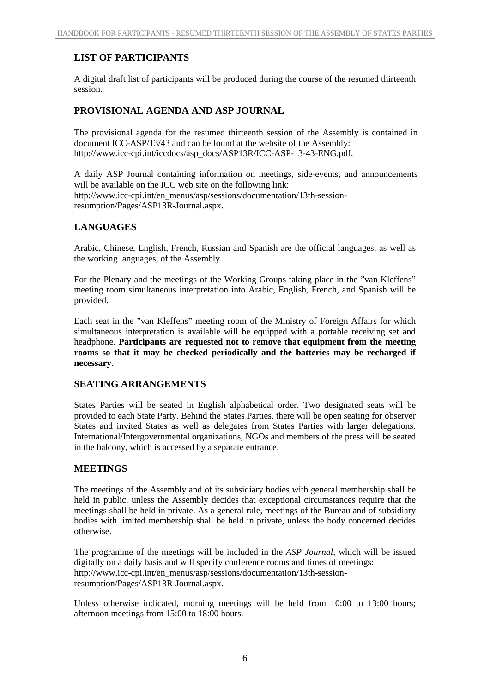## **LIST OF PARTICIPANTS**

A digital draft list of participants will be produced during the course of the resumed thirteenth session.

## **PROVISIONAL AGENDA AND ASP JOURNAL**

The provisional agenda for the resumed thirteenth session of the Assembly is contained in document ICC-ASP/13/43 and can be found at the website of the Assembly: http://www.icc-cpi.int/iccdocs/asp\_docs/ASP13R/ICC-ASP-13-43-ENG.pdf.

A daily ASP Journal containing information on meetings, side-events, and announcements will be available on the ICC web site on the following link: http://www.icc-cpi.int/en\_menus/asp/sessions/documentation/13th-sessionresumption/Pages/ASP13R-Journal.aspx.

## **LANGUAGES**

Arabic, Chinese, English, French, Russian and Spanish are the official languages, as well as the working languages, of the Assembly.

For the Plenary and the meetings of the Working Groups taking place in the "van Kleffens" meeting room simultaneous interpretation into Arabic, English, French, and Spanish will be provided.

Each seat in the "van Kleffens" meeting room of the Ministry of Foreign Affairs for which simultaneous interpretation is available will be equipped with a portable receiving set and headphone. **Participants are requested not to remove that equipment from the meeting rooms so that it may be checked periodically and the batteries may be recharged if necessary.**

## **SEATING ARRANGEMENTS**

States Parties will be seated in English alphabetical order. Two designated seats will be provided to each State Party. Behind the States Parties, there will be open seating for observer States and invited States as well as delegates from States Parties with larger delegations. International/Intergovernmental organizations, NGOs and members of the press will be seated in the balcony, which is accessed by a separate entrance.

## **MEETINGS**

The meetings of the Assembly and of its subsidiary bodies with general membership shall be held in public, unless the Assembly decides that exceptional circumstances require that the meetings shall be held in private. As a general rule, meetings of the Bureau and of subsidiary bodies with limited membership shall be held in private, unless the body concerned decides otherwise.

The programme of the meetings will be included in the *ASP Journal*, which will be issued digitally on a daily basis and will specify conference rooms and times of meetings: http://www.icc-cpi.int/en\_menus/asp/sessions/documentation/13th-sessionresumption/Pages/ASP13R-Journal.aspx.

Unless otherwise indicated, morning meetings will be held from 10:00 to 13:00 hours; afternoon meetings from 15:00 to 18:00 hours.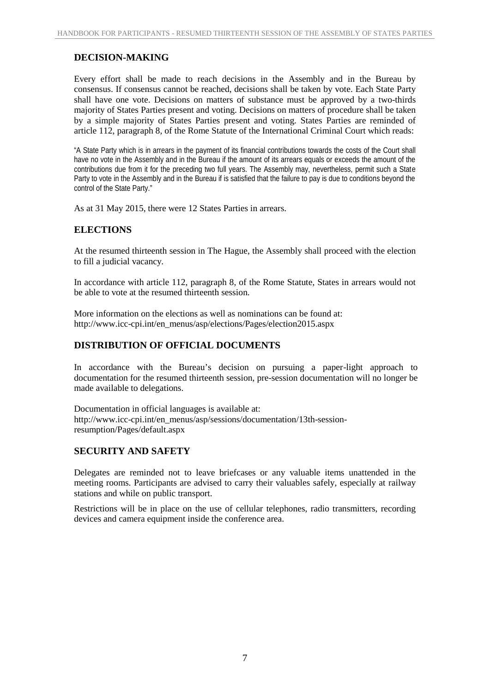## **DECISION-MAKING**

Every effort shall be made to reach decisions in the Assembly and in the Bureau by consensus. If consensus cannot be reached, decisions shall be taken by vote. Each State Party shall have one vote. Decisions on matters of substance must be approved by a two-thirds majority of States Parties present and voting. Decisions on matters of procedure shall be taken by a simple majority of States Parties present and voting. States Parties are reminded of article 112, paragraph 8, of the Rome Statute of the International Criminal Court which reads:

"A State Party which is in arrears in the payment of its financial contributions towards the costs of the Court shall have no vote in the Assembly and in the Bureau if the amount of its arrears equals or exceeds the amount of the contributions due from it for the preceding two full years. The Assembly may, nevertheless, permit such a State Party to vote in the Assembly and in the Bureau if is satisfied that the failure to pay is due to conditions beyond the control of the State Party."

As at 31 May 2015, there were 12 States Parties in arrears.

## **ELECTIONS**

At the resumed thirteenth session in The Hague, the Assembly shall proceed with the election to fill a judicial vacancy*.*

In accordance with article 112, paragraph 8, of the Rome Statute, States in arrears would not be able to vote at the resumed thirteenth session.

More information on the elections as well as nominations can be found at: http://www.icc-cpi.int/en\_menus/asp/elections/Pages/election2015.aspx

## **DISTRIBUTION OF OFFICIAL DOCUMENTS**

In accordance with the Bureau's decision on pursuing a paper-light approach to documentation for the resumed thirteenth session, pre-session documentation will no longer be made available to delegations.

Documentation in official languages is available at: http://www.icc-cpi.int/en\_menus/asp/sessions/documentation/13th-sessionresumption/Pages/default.aspx

## **SECURITY AND SAFETY**

Delegates are reminded not to leave briefcases or any valuable items unattended in the meeting rooms. Participants are advised to carry their valuables safely, especially at railway stations and while on public transport.

Restrictions will be in place on the use of cellular telephones, radio transmitters, recording devices and camera equipment inside the conference area.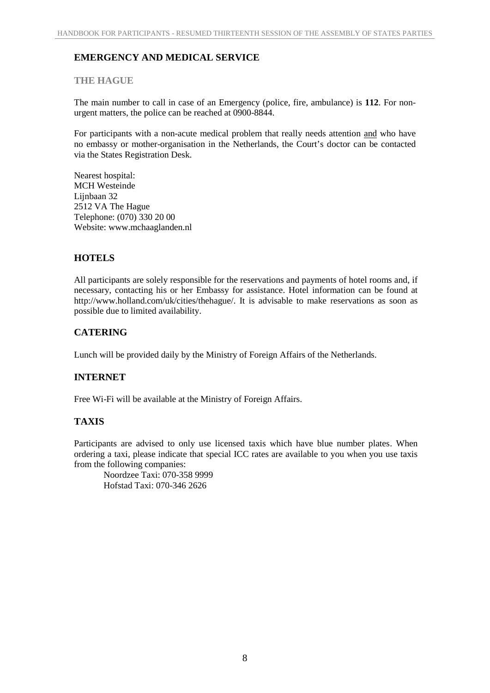## **EMERGENCY AND MEDICAL SERVICE**

## **THE HAGUE**

The main number to call in case of an Emergency (police, fire, ambulance) is **112**. For non urgent matters, the police can be reached at 0900-8844.

For participants with a non-acute medical problem that really needs attention and who have no embassy or mother-organisation in the Netherlands, the Court's doctor can be contacted via the States Registration Desk.

Nearest hospital: MCH Westeinde Liinbaan 32 2512 VA The Hague Telephone: (070) 330 20 00 Website: www.mchaaglanden.nl

## **HOTELS**

All participants are solely responsible for the reservations and payments of hotel rooms and, if necessary, contacting his or her Embassy for assistance. Hotel information can be found at http://www.holland.com/uk/cities/thehague/. It is advisable to make reservations as soon as possible due to limited availability.

## **CATERING**

Lunch will be provided daily by the Ministry of Foreign Affairs of the Netherlands.

## **INTERNET**

Free Wi-Fi will be available at the Ministry of Foreign Affairs.

## **TAXIS**

Participants are advised to only use licensed taxis which have blue number plates. When ordering a taxi, please indicate that special ICC rates are available to you when you use taxis from the following companies:

Noordzee Taxi: 070-358 9999 Hofstad Taxi: 070-346 2626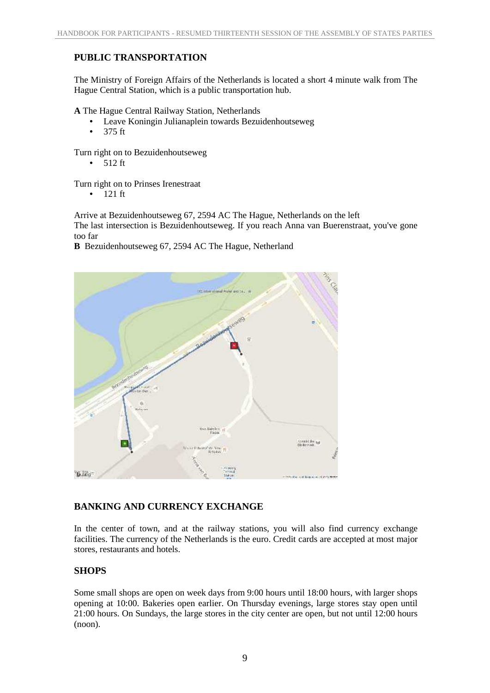## **PUBLIC TRANSPORTATION**

The Ministry of Foreign Affairs of the Netherlands is located a short 4 minute walk from The Hague Central Station, which is a public transportation hub.

**A** The Hague Central Railway Station, Netherlands

- Leave Koningin Julianaplein towards Bezuidenhoutseweg
- 375 ft

Turn right on to Bezuidenhoutseweg

 $-512$  ft

Turn right on to Prinses Irenestraat

 $-121$  ft

Arrive at Bezuidenhoutseweg 67, 2594 AC The Hague, Netherlands on the left

The last intersection is Bezuidenhoutseweg. If you reach Anna van Buerenstraat, you've gone too far

**B** Bezuidenhoutseweg 67, 2594 AC The Hague, Netherland



## **BANKING AND CURRENCY EXCHANGE**

In the center of town, and at the railway stations, you will also find currency exchange facilities. The currency of the Netherlands is the euro. Credit cards are accepted at most major stores, restaurants and hotels.

## **SHOPS**

Some small shops are open on week days from 9:00 hours until 18:00 hours, with larger shops opening at 10:00. Bakeries open earlier. On Thursday evenings, large stores stay open until 21:00 hours. On Sundays, the large stores in the city center are open, but not until 12:00 hours (noon).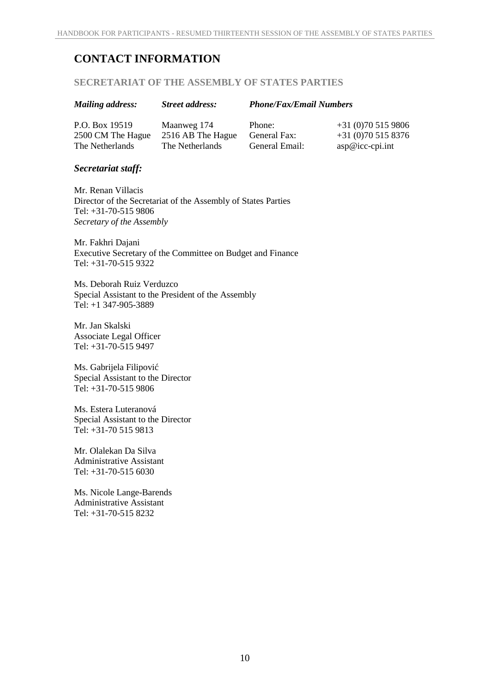# **CONTACT INFORMATION**

### **SECRETARIAT OF THE ASSEMBLY OF STATES PARTIES**

| <b>Mailing address:</b>             | <b>Street address:</b>           | <b>Phone/Fax/Email Numbers</b> |                                        |
|-------------------------------------|----------------------------------|--------------------------------|----------------------------------------|
| P.O. Box 19519<br>2500 CM The Hague | Maanweg 174<br>2516 AB The Hague | Phone:<br>General Fax:         | $+31(0)705159806$<br>$+31(0)705158376$ |
| The Netherlands                     | The Netherlands                  | General Email:                 | $asp@icc-cpi.int$                      |

## *Secretariat staff:*

Mr. Renan Villacis Director of the Secretariat of the Assembly of States Parties Tel: +31-70-515 9806 *Secretary of the Assembly*

Mr. Fakhri Dajani Executive Secretary of the Committee on Budget and Finance Tel: +31-70-515 9322

Ms. Deborah Ruiz Verduzco Special Assistant to the President of the Assembly Tel: +1 347-905-3889

Mr. Jan Skalski Associate Legal Officer Tel: +31-70-515 9497

Ms. Gabrijela Filipović Special Assistant to the Director Tel: +31-70-515 9806

Ms. Estera Luteranová Special Assistant to the Director Tel: +31-70 515 9813

Mr. Olalekan Da Silva Administrative Assistant Tel: +31-70-515 6030

Ms. Nicole Lange-Barends Administrative Assistant Tel: +31-70-515 8232